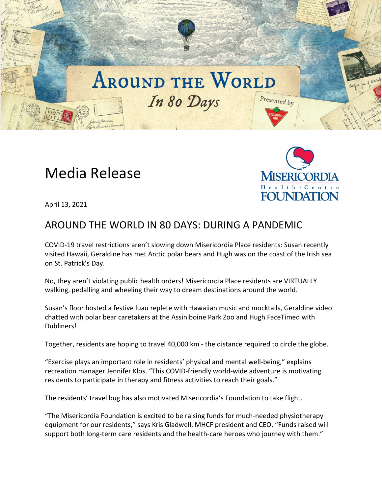## **AROUND THE WORLD** In 80 Days Presented by

# Media Release



April 13, 2021

### AROUND THE WORLD IN 80 DAYS: DURING A PANDEMIC

COVID-19 travel restrictions aren't slowing down Misericordia Place residents: Susan recently visited Hawaii, Geraldine has met Arctic polar bears and Hugh was on the coast of the Irish sea on St. Patrick's Day.

No, they aren't violating public health orders! Misericordia Place residents are VIRTUALLY walking, pedalling and wheeling their way to dream destinations around the world.

Susan's floor hosted a festive luau replete with Hawaiian music and mocktails, Geraldine video chatted with polar bear caretakers at the Assiniboine Park Zoo and Hugh FaceTimed with Dubliners!

Together, residents are hoping to travel 40,000 km - the distance required to circle the globe.

"Exercise plays an important role in residents' physical and mental well-being," explains recreation manager Jennifer Klos. "This COVID-friendly world-wide adventure is motivating residents to participate in therapy and fitness activities to reach their goals."

The residents' travel bug has also motivated Misericordia's Foundation to take flight.

"The Misericordia Foundation is excited to be raising funds for much-needed physiotherapy equipment for our residents," says Kris Gladwell, MHCF president and CEO. "Funds raised will support both long-term care residents and the health-care heroes who journey with them."